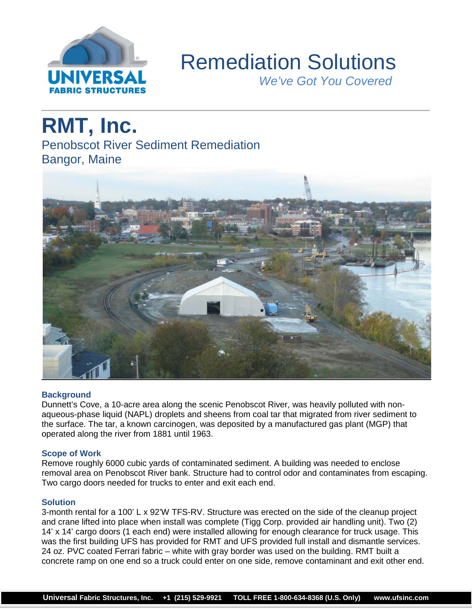

## Remediation Solutions

 *We've Got You Covered*

# **RMT, Inc.**

Penobscot River Sediment Remediation Bangor, Maine



## **Background**

Dunnett's Cove, a 10-acre area along the scenic Penobscot River, was heavily polluted with nonaqueous-phase liquid (NAPL) droplets and sheens from coal tar that migrated from river sediment to the surface. The tar, a known carcinogen, was deposited by a manufactured gas plant (MGP) that operated along the river from 1881 until 1963.

## **Scope of Work**

Remove roughly 6000 cubic yards of contaminated sediment. A building was needed to enclose removal area on Penobscot River bank. Structure had to control odor and contaminates from escaping. Two cargo doors needed for trucks to enter and exit each end.

## **Solution**

3-month rental for a 100' L x 92'W TFS-RV. Structure was erected on the side of the cleanup project and crane lifted into place when install was complete (Tigg Corp. provided air handling unit). Two (2) 14' x 14' cargo doors (1 each end) were installed allowing for enough clearance for truck usage. This was the first building UFS has provided for RMT and UFS provided full install and dismantle services. 24 oz. PVC coated Ferrari fabric – white with gray border was used on the building. RMT built a concrete ramp on one end so a truck could enter on one side, remove contaminant and exit other end.